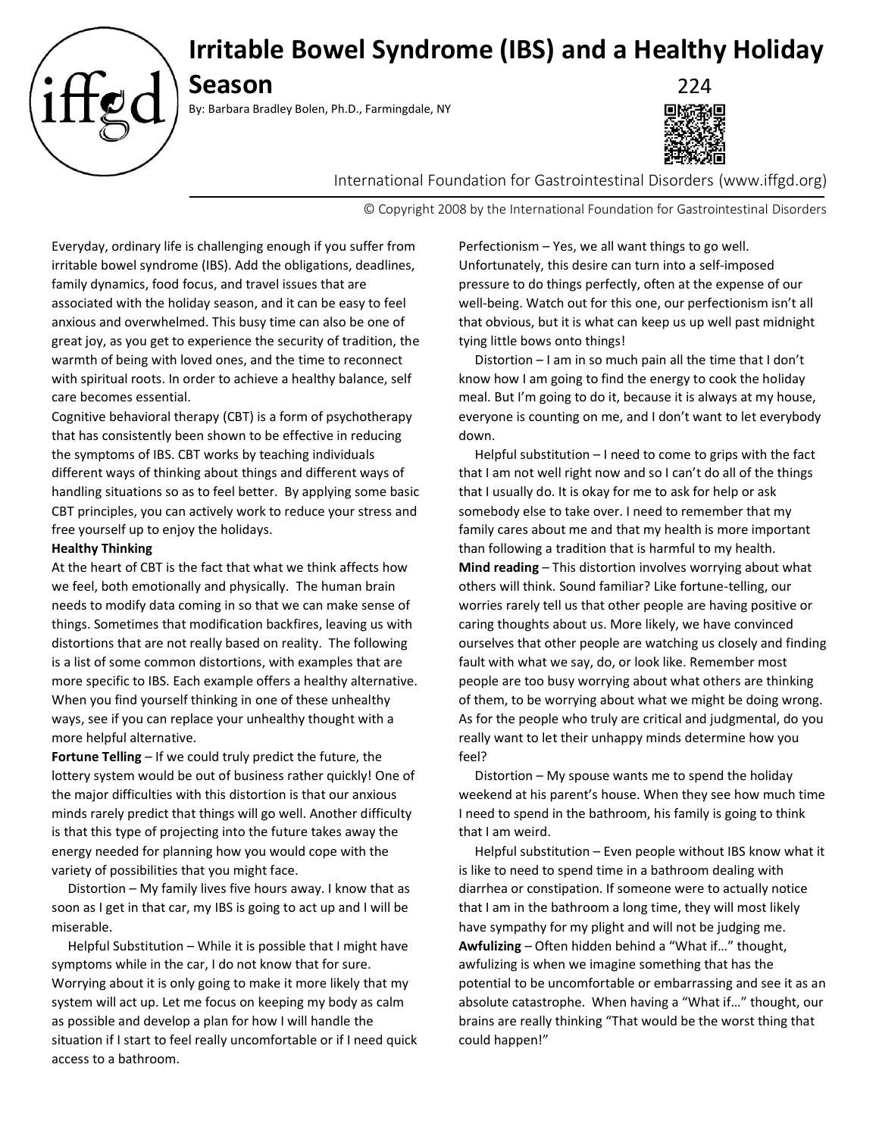

# **Season** 224

By: Barbara Bradley Bolen, Ph.D., Farmingdale, NY



International Foundation for Gastrointestinal Disorders (www.iffgd.org)

© Copyright 2008 by the International Foundation for Gastrointestinal Disorders

Everyday, ordinary life is challenging enough if you suffer from irritable bowel syndrome (IBS). Add the obligations, deadlines, family dynamics, food focus, and travel issues that are associated with the holiday season, and it can be easy to feel anxious and overwhelmed. This busy time can also be one of great joy, as you get to experience the security of tradition, the warmth of being with loved ones, and the time to reconnect with spiritual roots. In order to achieve a healthy balance, self care becomes essential.

Cognitive behavioral therapy (CBT) is a form of psychotherapy that has consistently been shown to be effective in reducing the symptoms of IBS. CBT works by teaching individuals different ways of thinking about things and different ways of handling situations so as to feel better. By applying some basic CBT principles, you can actively work to reduce your stress and free yourself up to enjoy the holidays.

## **Healthy Thinking**

At the heart of CBT is the fact that what we think affects how we feel, both emotionally and physically. The human brain needs to modify data coming in so that we can make sense of things. Sometimes that modification backfires, leaving us with distortions that are not really based on reality. The following is a list of some common distortions, with examples that are more specific to IBS. Each example offers a healthy alternative. When you find yourself thinking in one of these unhealthy ways, see if you can replace your unhealthy thought with a more helpful alternative.

**Fortune Telling** – If we could truly predict the future, the lottery system would be out of business rather quickly! One of the major difficulties with this distortion is that our anxious minds rarely predict that things will go well. Another difficulty is that this type of projecting into the future takes away the energy needed for planning how you would cope with the variety of possibilities that you might face.

 Distortion – My family lives five hours away. I know that as soon as I get in that car, my IBS is going to act up and I will be miserable.

 Helpful Substitution – While it is possible that I might have symptoms while in the car, I do not know that for sure. Worrying about it is only going to make it more likely that my system will act up. Let me focus on keeping my body as calm as possible and develop a plan for how I will handle the situation if I start to feel really uncomfortable or if I need quick access to a bathroom.

Perfectionism – Yes, we all want things to go well. Unfortunately, this desire can turn into a self-imposed pressure to do things perfectly, often at the expense of our well-being. Watch out for this one, our perfectionism isn't all that obvious, but it is what can keep us up well past midnight tying little bows onto things!

 Distortion – I am in so much pain all the time that I don't know how I am going to find the energy to cook the holiday meal. But I'm going to do it, because it is always at my house, everyone is counting on me, and I don't want to let everybody down.

 Helpful substitution – I need to come to grips with the fact that I am not well right now and so I can't do all of the things that I usually do. It is okay for me to ask for help or ask somebody else to take over. I need to remember that my family cares about me and that my health is more important than following a tradition that is harmful to my health. **Mind reading** – This distortion involves worrying about what others will think. Sound familiar? Like fortune-telling, our worries rarely tell us that other people are having positive or caring thoughts about us. More likely, we have convinced ourselves that other people are watching us closely and finding fault with what we say, do, or look like. Remember most people are too busy worrying about what others are thinking of them, to be worrying about what we might be doing wrong. As for the people who truly are critical and judgmental, do you really want to let their unhappy minds determine how you feel?

 Distortion – My spouse wants me to spend the holiday weekend at his parent's house. When they see how much time I need to spend in the bathroom, his family is going to think that I am weird.

 Helpful substitution – Even people without IBS know what it is like to need to spend time in a bathroom dealing with diarrhea or constipation. If someone were to actually notice that I am in the bathroom a long time, they will most likely have sympathy for my plight and will not be judging me. **Awfulizing** – Often hidden behind a "What if…" thought, awfulizing is when we imagine something that has the potential to be uncomfortable or embarrassing and see it as an absolute catastrophe. When having a "What if…" thought, our brains are really thinking "That would be the worst thing that could happen!"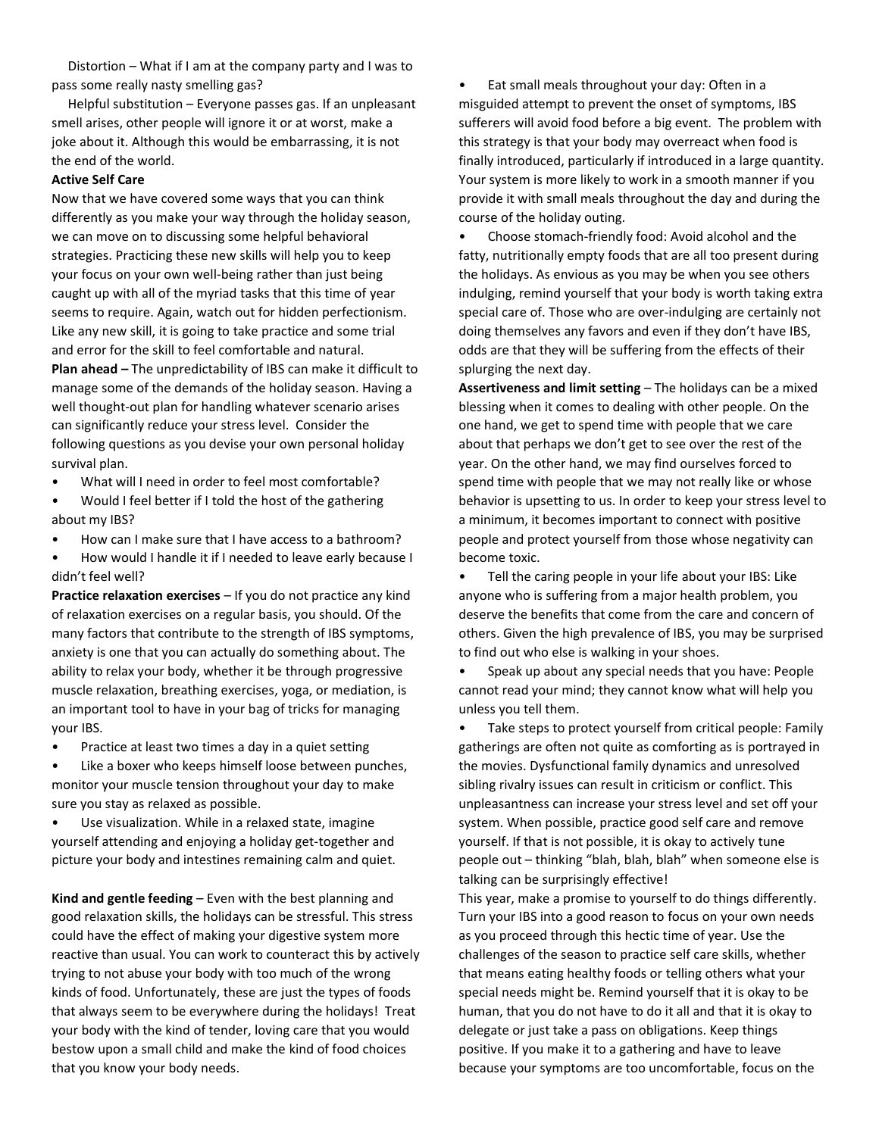Distortion – What if I am at the company party and I was to pass some really nasty smelling gas?

 Helpful substitution – Everyone passes gas. If an unpleasant smell arises, other people will ignore it or at worst, make a joke about it. Although this would be embarrassing, it is not the end of the world.

### **Active Self Care**

Now that we have covered some ways that you can think differently as you make your way through the holiday season, we can move on to discussing some helpful behavioral strategies. Practicing these new skills will help you to keep your focus on your own well-being rather than just being caught up with all of the myriad tasks that this time of year seems to require. Again, watch out for hidden perfectionism. Like any new skill, it is going to take practice and some trial and error for the skill to feel comfortable and natural. **Plan ahead –** The unpredictability of IBS can make it difficult to manage some of the demands of the holiday season. Having a well thought-out plan for handling whatever scenario arises can significantly reduce your stress level. Consider the following questions as you devise your own personal holiday survival plan.

- What will I need in order to feel most comfortable?
- Would I feel better if I told the host of the gathering about my IBS?
- How can I make sure that I have access to a bathroom?
- How would I handle it if I needed to leave early because I didn't feel well?

**Practice relaxation exercises** – If you do not practice any kind of relaxation exercises on a regular basis, you should. Of the many factors that contribute to the strength of IBS symptoms, anxiety is one that you can actually do something about. The ability to relax your body, whether it be through progressive muscle relaxation, breathing exercises, yoga, or mediation, is an important tool to have in your bag of tricks for managing your IBS.

• Practice at least two times a day in a quiet setting

• Like a boxer who keeps himself loose between punches, monitor your muscle tension throughout your day to make sure you stay as relaxed as possible.

Use visualization. While in a relaxed state, imagine yourself attending and enjoying a holiday get-together and picture your body and intestines remaining calm and quiet.

**Kind and gentle feeding** – Even with the best planning and good relaxation skills, the holidays can be stressful. This stress could have the effect of making your digestive system more reactive than usual. You can work to counteract this by actively trying to not abuse your body with too much of the wrong kinds of food. Unfortunately, these are just the types of foods that always seem to be everywhere during the holidays! Treat your body with the kind of tender, loving care that you would bestow upon a small child and make the kind of food choices that you know your body needs.

• Eat small meals throughout your day: Often in a misguided attempt to prevent the onset of symptoms, IBS sufferers will avoid food before a big event. The problem with this strategy is that your body may overreact when food is finally introduced, particularly if introduced in a large quantity. Your system is more likely to work in a smooth manner if you provide it with small meals throughout the day and during the course of the holiday outing.

• Choose stomach-friendly food: Avoid alcohol and the fatty, nutritionally empty foods that are all too present during the holidays. As envious as you may be when you see others indulging, remind yourself that your body is worth taking extra special care of. Those who are over-indulging are certainly not doing themselves any favors and even if they don't have IBS, odds are that they will be suffering from the effects of their splurging the next day.

**Assertiveness and limit setting** – The holidays can be a mixed blessing when it comes to dealing with other people. On the one hand, we get to spend time with people that we care about that perhaps we don't get to see over the rest of the year. On the other hand, we may find ourselves forced to spend time with people that we may not really like or whose behavior is upsetting to us. In order to keep your stress level to a minimum, it becomes important to connect with positive people and protect yourself from those whose negativity can become toxic.

• Tell the caring people in your life about your IBS: Like anyone who is suffering from a major health problem, you deserve the benefits that come from the care and concern of others. Given the high prevalence of IBS, you may be surprised to find out who else is walking in your shoes.

• Speak up about any special needs that you have: People cannot read your mind; they cannot know what will help you unless you tell them.

• Take steps to protect yourself from critical people: Family gatherings are often not quite as comforting as is portrayed in the movies. Dysfunctional family dynamics and unresolved sibling rivalry issues can result in criticism or conflict. This unpleasantness can increase your stress level and set off your system. When possible, practice good self care and remove yourself. If that is not possible, it is okay to actively tune people out – thinking "blah, blah, blah" when someone else is talking can be surprisingly effective!

This year, make a promise to yourself to do things differently. Turn your IBS into a good reason to focus on your own needs as you proceed through this hectic time of year. Use the challenges of the season to practice self care skills, whether that means eating healthy foods or telling others what your special needs might be. Remind yourself that it is okay to be human, that you do not have to do it all and that it is okay to delegate or just take a pass on obligations. Keep things positive. If you make it to a gathering and have to leave because your symptoms are too uncomfortable, focus on the